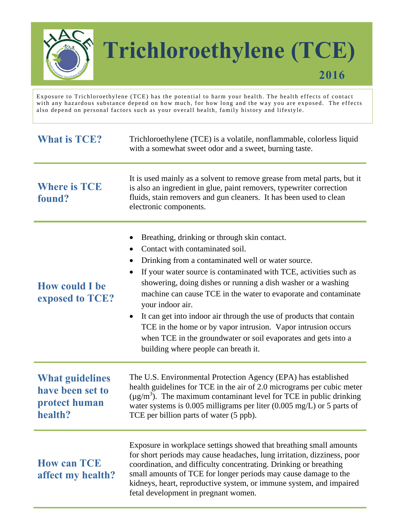

## **Trichloroethylene (TCE)**

**2016** 

Exposure to Trichloroethylene (TCE) has the potential to harm your health. The health effects of contact with any hazardous substance depend on how much, for how long and the way you are exposed. The effects also depend on personal factors such as your overall health, family history and lifestyle.

| <b>What is TCE?</b>                                                    | Trichloroethylene (TCE) is a volatile, nonflammable, colorless liquid<br>with a somewhat sweet odor and a sweet, burning taste.                                                                                                                                                                                                                                                                                                                                                                                                                                                                                                                             |
|------------------------------------------------------------------------|-------------------------------------------------------------------------------------------------------------------------------------------------------------------------------------------------------------------------------------------------------------------------------------------------------------------------------------------------------------------------------------------------------------------------------------------------------------------------------------------------------------------------------------------------------------------------------------------------------------------------------------------------------------|
| <b>Where is TCE</b><br>found?                                          | It is used mainly as a solvent to remove grease from metal parts, but it<br>is also an ingredient in glue, paint removers, typewriter correction<br>fluids, stain removers and gun cleaners. It has been used to clean<br>electronic components.                                                                                                                                                                                                                                                                                                                                                                                                            |
| <b>How could I be</b><br>exposed to TCE?                               | Breathing, drinking or through skin contact.<br>Contact with contaminated soil.<br>$\bullet$<br>Drinking from a contaminated well or water source.<br>If your water source is contaminated with TCE, activities such as<br>$\bullet$<br>showering, doing dishes or running a dish washer or a washing<br>machine can cause TCE in the water to evaporate and contaminate<br>your indoor air.<br>It can get into indoor air through the use of products that contain<br>$\bullet$<br>TCE in the home or by vapor intrusion. Vapor intrusion occurs<br>when TCE in the groundwater or soil evaporates and gets into a<br>building where people can breath it. |
| <b>What guidelines</b><br>have been set to<br>protect human<br>health? | The U.S. Environmental Protection Agency (EPA) has established<br>health guidelines for TCE in the air of 2.0 micrograms per cubic meter<br>$(\mu g/m^3)$ . The maximum contaminant level for TCE in public drinking<br>water systems is 0.005 milligrams per liter $(0.005 \text{ mg/L})$ or 5 parts of<br>TCE per billion parts of water (5 ppb).                                                                                                                                                                                                                                                                                                         |
| <b>How can TCE</b><br>affect my health?                                | Exposure in workplace settings showed that breathing small amounts<br>for short periods may cause headaches, lung irritation, dizziness, poor<br>coordination, and difficulty concentrating. Drinking or breathing<br>small amounts of TCE for longer periods may cause damage to the<br>kidneys, heart, reproductive system, or immune system, and impaired<br>fetal development in pregnant women.                                                                                                                                                                                                                                                        |